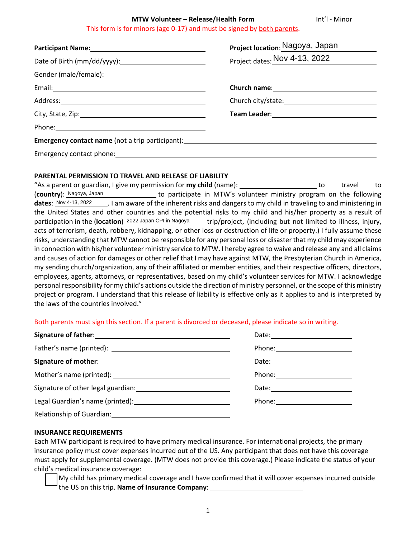#### **MTW Volunteer – Release/Health Form The Construct Construct Construct Construct Construct Construct** This form is for minors (age 0-17) and must be signed by both parents.

|                                                                                  | Project location: Nagoya, Japan |
|----------------------------------------------------------------------------------|---------------------------------|
|                                                                                  | Project dates: Nov 4-13, 2022   |
|                                                                                  |                                 |
|                                                                                  |                                 |
|                                                                                  |                                 |
|                                                                                  |                                 |
|                                                                                  |                                 |
| Emergency contact name (not a trip participant): _______________________________ |                                 |
| Emergency contact phone: Emergency contact                                       |                                 |

# **PARENTAL PERMISSION TO TRAVEL AND RELEASE OF LIABILITY**

"As a parent or guardian, I give my permission for **my child** (name): the to travel to travel to (**country**): to participate in MTW's volunteer ministry program on the following Lam aware of the inherent risks and dangers to my child in traveling to and ministering in the United States and other countries and the potential risks to my child and his/her property as a result of participation in the (location) <sup>2022 Japan CPI in Nagoya Lip and project, (including but not limited to illness, injury,</sup> acts of terrorism, death, robbery, kidnapping, or other loss or destruction of life or property.) I fully assume these risks, understanding that MTW cannot be responsible for any personal loss or disaster that my child may experience in connection with his/her volunteer ministry service to MTW**.** I hereby agree to waive and release any and all claims and causes of action for damages or other relief that I may have against MTW, the Presbyterian Church in America, my sending church/organization, any of their affiliated or member entities, and their respective officers, directors, employees, agents, attorneys, or representatives, based on my child's volunteer services for MTW. I acknowledge personal responsibility for my child's actions outside the direction of ministry personnel, or the scope of this ministry project or program. I understand that this release of liability is effective only as it applies to and is interpreted by the laws of the countries involved." (country): Nagoya, Japan dates: Nov 4-13, 2022

## Both parents must sign this section. If a parent is divorced or deceased, please indicate so in writing.

| Date: _________________________                                                                               |
|---------------------------------------------------------------------------------------------------------------|
| Phone: 2008 2010 2021 2022 2022 2023 2024 2022 2022 2023 2024 2022 2023 2024 2022 2023 2024 2022 2023 2024 20 |
| Date: ________________________                                                                                |
| Phone: _________________________                                                                              |
|                                                                                                               |
| Phone: 2008 2010 2021 2022 2022 2023 2024 2022 2022 2023 2024 2022 2023 2024 2022 2023 2024 2022 2023 2024 20 |
|                                                                                                               |

## **INSURANCE REQUIREMENTS**

Each MTW participant is required to have primary medical insurance. For international projects, the primary insurance policy must cover expenses incurred out of the US. Any participant that does not have this coverage must apply for supplemental coverage. (MTW does not provide this coverage.) Please indicate the status of your child's medical insurance coverage:

 My child has primary medical coverage and I have confirmed that it will cover expenses incurred outside the US on this trip. **Name of Insurance Company**: